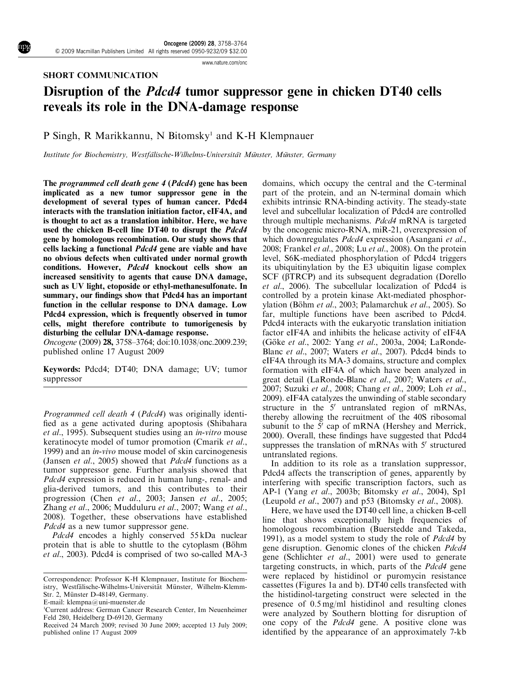www.nature.com/onc

#### SHORT COMMUNICATION

# Disruption of the Pdcd4 tumor suppressor gene in chicken DT40 cells reveals its role in the DNA-damage response

## P Singh, R Marikkannu, N Bitomsky<sup>1</sup> and K-H Klempnauer

Institute for Biochemistry, Westfälische-Wilhelms-Universität Münster, Münster, Germany

The programmed cell death gene 4 (Pdcd4) gene has been implicated as a new tumor suppressor gene in the development of several types of human cancer. Pdcd4 interacts with the translation initiation factor, eIF4A, and is thought to act as a translation inhibitor. Here, we have used the chicken B-cell line DT40 to disrupt the Pdcd4 gene by homologous recombination. Our study shows that cells lacking a functional Pdcd4 gene are viable and have no obvious defects when cultivated under normal growth conditions. However, Pdcd4 knockout cells show an increased sensitivity to agents that cause DNA damage, such as UV light, etoposide or ethyl-methanesulfonate. In summary, our findings show that Pdcd4 has an important function in the cellular response to DNA damage. Low Pdcd4 expression, which is frequently observed in tumor cells, might therefore contribute to tumorigenesis by disturbing the cellular DNA-damage response.

Oncogene (2009) 28, 3758–3764; doi:10.1038/onc.2009.239; published online 17 August 2009

Keywords: Pdcd4; DT40; DNA damage; UV; tumor suppressor

Programmed cell death 4 (Pdcd4) was originally identified as a gene activated during apoptosis (Shibahara et al., 1995). Subsequent studies using an in-vitro mouse keratinocyte model of tumor promotion (Cmarik et al., 1999) and an *in-vivo* mouse model of skin carcinogenesis (Jansen et al., 2005) showed that Pdcd4 functions as a tumor suppressor gene. Further analysis showed that Pdcd4 expression is reduced in human lung-, renal- and glia-derived tumors, and this contributes to their progression (Chen et al., 2003; Jansen et al., 2005; Zhang et al., 2006; Mudduluru et al., 2007; Wang et al., 2008). Together, these observations have established Pdcd4 as a new tumor suppressor gene.

Pdcd4 encodes a highly conserved 55 kDa nuclear protein that is able to shuttle to the cytoplasm (Böhm et al., 2003). Pdcd4 is comprised of two so-called MA-3

E-mail: klempna@uni-muenster.de

domains, which occupy the central and the C-terminal part of the protein, and an N-terminal domain which exhibits intrinsic RNA-binding activity. The steady-state level and subcellular localization of Pdcd4 are controlled through multiple mechanisms. Pdcd4 mRNA is targeted by the oncogenic micro-RNA, miR-21, overexpression of which downregulates *Pdcd4* expression (Asangani et al., 2008; Frankel et al., 2008; Lu et al., 2008). On the protein level, S6K-mediated phosphorylation of Pdcd4 triggers its ubiquitinylation by the E3 ubiquitin ligase complex SCF ( $\beta$ TRCP) and its subsequent degradation (Dorello et al., 2006). The subcellular localization of Pdcd4 is controlled by a protein kinase Akt-mediated phosphorylation (Böhm et al., 2003; Palamarchuk et al., 2005). So far, multiple functions have been ascribed to Pdcd4. Pdcd4 interacts with the eukaryotic translation initiation factor eIF4A and inhibits the helicase activity of eIF4A (Göke et al., 2002: Yang et al., 2003a, 2004; LaRonde-Blanc et al., 2007; Waters et al., 2007). Pdcd4 binds to eIF4A through its MA-3 domains, structure and complex formation with eIF4A of which have been analyzed in great detail (LaRonde-Blanc et al., 2007; Waters et al., 2007; Suzuki et al., 2008; Chang et al., 2009; Loh et al., 2009). eIF4A catalyzes the unwinding of stable secondary structure in the  $5'$  untranslated region of mRNAs, thereby allowing the recruitment of the 40S ribosomal subunit to the  $5'$  cap of mRNA (Hershey and Merrick, 2000). Overall, these findings have suggested that Pdcd4 suppresses the translation of mRNAs with 5' structured untranslated regions.

In addition to its role as a translation suppressor, Pdcd4 affects the transcription of genes, apparently by interfering with specific transcription factors, such as AP-1 (Yang et al., 2003b; Bitomsky et al., 2004), Sp1 (Leupold et al., 2007) and p53 (Bitomsky et al., 2008).

Here, we have used the DT40 cell line, a chicken B-cell line that shows exceptionally high frequencies of homologous recombination (Buerstedde and Takeda, 1991), as a model system to study the role of *Pdcd4* by gene disruption. Genomic clones of the chicken Pdcd4 gene (Schlichter et al., 2001) were used to generate targeting constructs, in which, parts of the Pdcd4 gene were replaced by histidinol or puromycin resistance cassettes (Figures 1a and b). DT40 cells transfected with the histidinol-targeting construct were selected in the presence of 0.5 mg/ml histidinol and resulting clones were analyzed by Southern blotting for disruption of one copy of the Pdcd4 gene. A positive clone was identified by the appearance of an approximately 7-kb

Correspondence: Professor K-H Klempnauer, Institute for Biochemistry, Westfälische-Wilhelms-Universität Münster, Wilhelm-Klemm-Str. 2, Münster D-48149, Germany.

<sup>1</sup>Current address: German Cancer Research Center, Im Neuenheimer Feld 280, Heidelberg D-69120, Germany

Received 24 March 2009; revised 30 June 2009; accepted 13 July 2009; published online 17 August 2009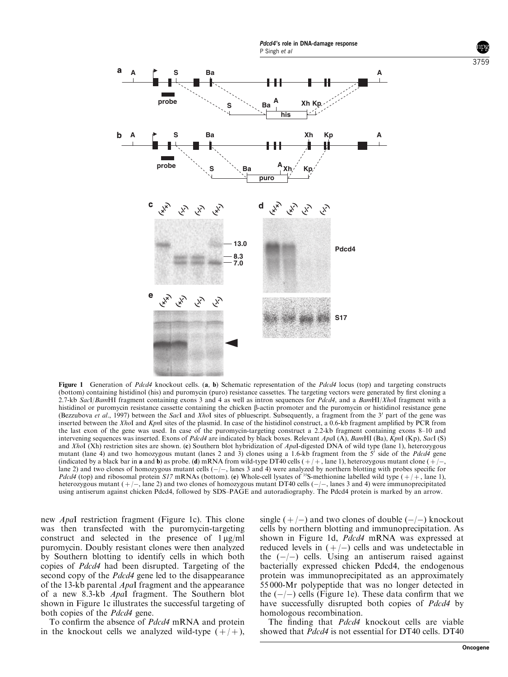

Figure 1 Generation of Pdcd4 knockout cells. (a, b) Schematic representation of the Pdcd4 locus (top) and targeting constructs (bottom) containing histidinol (his) and puromycin (puro) resistance cassettes. The targeting vectors were generated by first cloning a 2.7-kb SacI/BamHI fragment containing exons 3 and 4 as well as intron sequences for Pdcd4, and a BamHI/XhoI fragment with a histidinol or puromycin resistance cassette containing the chicken  $\beta$ -actin promoter and the puromycin or histidinol resistance gene (Bezzubova et al., 1997) between the SacI and XhoI sites of pbluescript. Subsequently, a fragment from the 3' part of the gene was inserted between the XhoI and KpnI sites of the plasmid. In case of the histidinol construct, a 0.6-kb fragment amplified by PCR from the last exon of the gene was used. In case of the puromycin-targeting construct a 2.2-kb fragment containing exons 8–10 and intervening sequences was inserted. Exons of *Pdcd4* are indicated by black boxes. Relevant ApaI (A), BamHI (Ba), KpnI (Kp), SacI (S) and XhoI (Xh) restriction sites are shown. (c) Southern blot hybridization of ApaI-digested DNA of wild type (lane 1), heterozygous mutant (lane 4) and two homozygous mutant (lanes 2 and 3) clones using a 1.6-kb fragment from the  $5^i$  side of the Pdcd4 gene (indicated by a black bar in **a** and **b**) as probe. (**d**) mRNA from wild-type DT40 cells  $(+/+)$ , lane 1), heterozygous mutant clone  $(+/-)$ lane 2) and two clones of homozygous mutant cells  $(-/-)$ , lanes 3 and 4) were analyzed by northern blotting with probes specific for  $Pdcd4$  (top) and ribosomal protein S17 mRNAs (bottom). (e) Whole-cell lysates of <sup>35</sup>S-methionine labelled wild type  $(+)$ , lane 1), heterozygous mutant  $(+/-)$ , lane 2) and two clones of homozygous mutant DT40 cells  $(-/-)$ , lanes 3 and 4) were immunoprecipitated using antiserum against chicken Pdcd4, followed by SDS–PAGE and autoradiography. The Pdcd4 protein is marked by an arrow.

new ApaI restriction fragment (Figure 1c). This clone was then transfected with the puromycin-targeting construct and selected in the presence of  $1 \mu g/ml$ puromycin. Doubly resistant clones were then analyzed by Southern blotting to identify cells in which both copies of Pdcd4 had been disrupted. Targeting of the second copy of the *Pdcd4* gene led to the disappearance of the 13-kb parental ApaI fragment and the appearance of a new 8.3-kb ApaI fragment. The Southern blot shown in Figure 1c illustrates the successful targeting of both copies of the *Pdcd4* gene.

To confirm the absence of Pdcd4 mRNA and protein in the knockout cells we analyzed wild-type  $(+/+)$ ,

single  $(+/-)$  and two clones of double  $(-/-)$  knockout cells by northern blotting and immunoprecipitation. As shown in Figure 1d, Pdcd4 mRNA was expressed at reduced levels in  $(+/-)$  cells and was undetectable in the  $(-/-)$  cells. Using an antiserum raised against bacterially expressed chicken Pdcd4, the endogenous protein was immunoprecipitated as an approximately 55 000-Mr polypeptide that was no longer detected in the  $(-/-)$  cells (Figure 1e). These data confirm that we have successfully disrupted both copies of *Pdcd4* by homologous recombination.

The finding that *Pdcd4* knockout cells are viable showed that *Pdcd4* is not essential for DT40 cells. DT40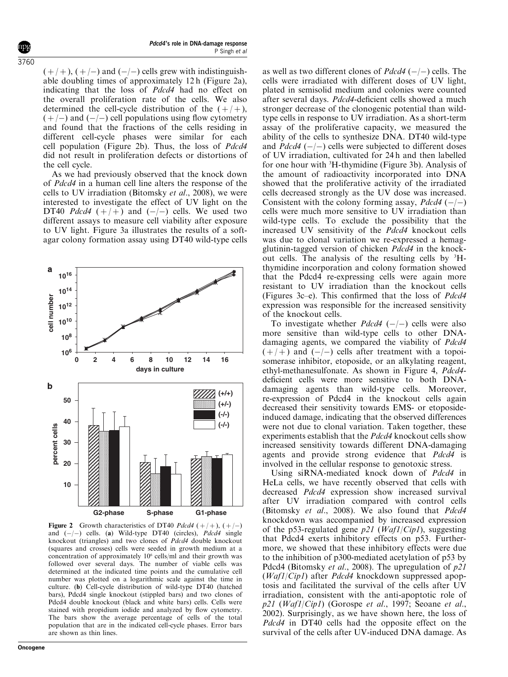$(+/+)$ ,  $(+/-)$  and  $(-/-)$  cells grew with indistinguishable doubling times of approximately 12 h (Figure 2a), indicating that the loss of Pdcd4 had no effect on the overall proliferation rate of the cells. We also determined the cell-cycle distribution of the  $(+/+)$ ,  $( +/- )$  and  $(-/- )$  cell populations using flow cytometry and found that the fractions of the cells residing in different cell-cycle phases were similar for each cell population (Figure 2b). Thus, the loss of Pdcd4 did not result in proliferation defects or distortions of the cell cycle.

As we had previously observed that the knock down of Pdcd4 in a human cell line alters the response of the cells to UV irradiation (Bitomsky et al., 2008), we were interested to investigate the effect of UV light on the DT40 Pdcd4  $(+/+)$  and  $(-/-)$  cells. We used two different assays to measure cell viability after exposure to UV light. Figure 3a illustrates the results of a softagar colony formation assay using DT40 wild-type cells



Figure 2 Growth characteristics of DT40 Pdcd4  $(+/+)$ ,  $(+/-)$ and  $(-/-)$  cells. (a) Wild-type DT40 (circles), *Pdcd4* single knockout (triangles) and two clones of Pdcd4 double knockout (squares and crosses) cells were seeded in growth medium at a concentration of approximately  $10<sup>6</sup>$  cells/ml and their growth was followed over several days. The number of viable cells was determined at the indicated time points and the cumulative cell number was plotted on a logarithmic scale against the time in culture. (b) Cell-cycle distribution of wild-type DT40 (hatched bars), Pdcd4 single knockout (stippled bars) and two clones of Pdcd4 double knockout (black and white bars) cells. Cells were stained with propidium iodide and analyzed by flow cytometry. The bars show the average percentage of cells of the total population that are in the indicated cell-cycle phases. Error bars are shown as thin lines.

**Oncogene**

as well as two different clones of  $Pdcd4$  (-/-) cells. The cells were irradiated with different doses of UV light, plated in semisolid medium and colonies were counted after several days. Pdcd4-deficient cells showed a much stronger decrease of the clonogenic potential than wildtype cells in response to UV irradiation. As a short-term assay of the proliferative capacity, we measured the ability of the cells to synthesize DNA. DT40 wild-type and  $Pdcd4$  (-/-) cells were subjected to different doses of UV irradiation, cultivated for 24 h and then labelled for one hour with <sup>3</sup>H-thymidine (Figure 3b). Analysis of the amount of radioactivity incorporated into DNA showed that the proliferative activity of the irradiated cells decreased strongly as the UV dose was increased. Consistent with the colony forming assay,  $Pdcd4$  (-/-) cells were much more sensitive to UV irradiation than wild-type cells. To exclude the possibility that the increased UV sensitivity of the Pdcd4 knockout cells was due to clonal variation we re-expressed a hemagglutinin-tagged version of chicken  $Pd\bar{c}d4$  in the knockout cells. The analysis of the resulting cells by <sup>3</sup>Hthymidine incorporation and colony formation showed that the Pdcd4 re-expressing cells were again more resistant to UV irradiation than the knockout cells (Figures 3c–e). This confirmed that the loss of Pdcd4 expression was responsible for the increased sensitivity of the knockout cells.

To investigate whether *Pdcd4*  $(-/-)$  cells were also more sensitive than wild-type cells to other DNAdamaging agents, we compared the viability of *Pdcd4*  $(+/-)$  and  $(-/-)$  cells after treatment with a topoisomerase inhibitor, etoposide, or an alkylating reagent, ethyl-methanesulfonate. As shown in Figure 4, Pdcd4 deficient cells were more sensitive to both DNAdamaging agents than wild-type cells. Moreover, re-expression of Pdcd4 in the knockout cells again decreased their sensitivity towards EMS- or etoposideinduced damage, indicating that the observed differences were not due to clonal variation. Taken together, these experiments establish that the Pdcd4 knockout cells show increased sensitivity towards different DNA-damaging agents and provide strong evidence that Pdcd4 is involved in the cellular response to genotoxic stress.

Using siRNA-mediated knock down of *Pdcd4* in HeLa cells, we have recently observed that cells with decreased Pdcd4 expression show increased survival after UV irradiation compared with control cells (Bitomsky et al., 2008). We also found that Pdcd4 knockdown was accompanied by increased expression of the p53-regulated gene  $p21$  (*Waf1*/*Cip1*), suggesting that Pdcd4 exerts inhibitory effects on p53. Furthermore, we showed that these inhibitory effects were due to the inhibition of p300-mediated acetylation of p53 by Pdcd4 (Bitomsky et al., 2008). The upregulation of  $p21$ (Waf1/Cip1) after Pdcd4 knockdown suppressed apoptosis and facilitated the survival of the cells after UV irradiation, consistent with the anti-apoptotic role of  $p21$  (Waf1/Cip1) (Gorospe et al., 1997; Seoane et al., 2002). Surprisingly, as we have shown here, the loss of Pdcd4 in DT40 cells had the opposite effect on the survival of the cells after UV-induced DNA damage. As

 $3760$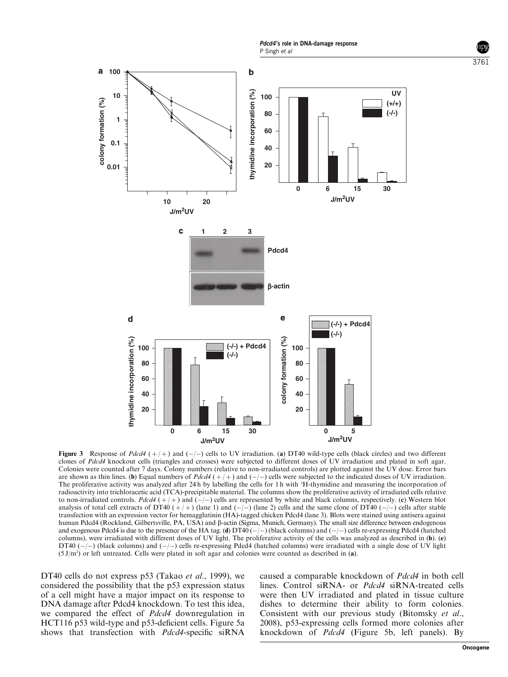Pdcd4's role in DNA-damage response P Singh et al



Figure 3 Response of Pdcd4  $(+/+)$  and  $(-/-)$  cells to UV irradiation. (a) DT40 wild-type cells (black circles) and two different clones of Pdcd4 knockout cells (triangles and crosses) were subjected to different doses of UV irradiation and plated in soft agar. Colonies were counted after 7 days. Colony numbers (relative to non-irradiated controls) are plotted against the UV dose. Error bars are shown as thin lines. (b) Equal numbers of  $Pdcd4$  ( $+$ ) and ( $-$ ) cells were subjected to the indicated doses of UV irradiation. The proliferative activity was analyzed after 24h by labelling the cells for 1 h with <sup>3</sup>H-thymidine and measuring the incorporation of radioactivity into trichloracetic acid (TCA)-precipitable material. The columns show the proliferative activity of irradiated cells relative to non-irradiated controls. Pdcd4  $(+/+)$  and  $(-/-)$  cells are represented by white and black columns, respectively. (c) Western blot analysis of total cell extracts of DT40  $(+)+$  (lane 1) and  $(-/-)$  (lane 2) cells and the same clone of DT40  $(-/-)$  cells after stable transfection with an expression vector for hemagglutinin (HA)-tagged chicken Pdcd4 (lane 3). Blots were stained using antisera against human Pdcd4 (Rockland, Gilbertsville, PA, USA) and  $\beta$ -actin (Sigma, Munich, Germany). The small size difference between endogenous and exogenous Pdcd4 is due to the presence of the HA tag. (d)  $DT40$  ( $-/-$ ) (black columns) and ( $-/-$ ) cells re-expressing Pdcd4 (hatched columns), were irradiated with different doses of UV light. The proliferative activity of the cells was analyzed as described in (b). (e) DT40  $(-/-)$  (black columns) and  $(-/-)$  cells re-expressing Pdcd4 (hatched columns) were irradiated with a single dose of UV light  $(5 \text{ J/m}^2)$  or left untreated. Cells were plated in soft agar and colonies were counted as described in (a).

DT40 cells do not express p53 (Takao *et al.*, 1999), we considered the possibility that the p53 expression status of a cell might have a major impact on its response to DNA damage after Pdcd4 knockdown. To test this idea, we compared the effect of Pdcd4 downregulation in HCT116 p53 wild-type and p53-deficient cells. Figure 5a shows that transfection with *Pdcd4*-specific siRNA

caused a comparable knockdown of Pdcd4 in both cell lines. Control siRNA- or Pdcd4 siRNA-treated cells were then UV irradiated and plated in tissue culture dishes to determine their ability to form colonies. Consistent with our previous study (Bitomsky et al., 2008), p53-expressing cells formed more colonies after knockdown of Pdcd4 (Figure 5b, left panels). By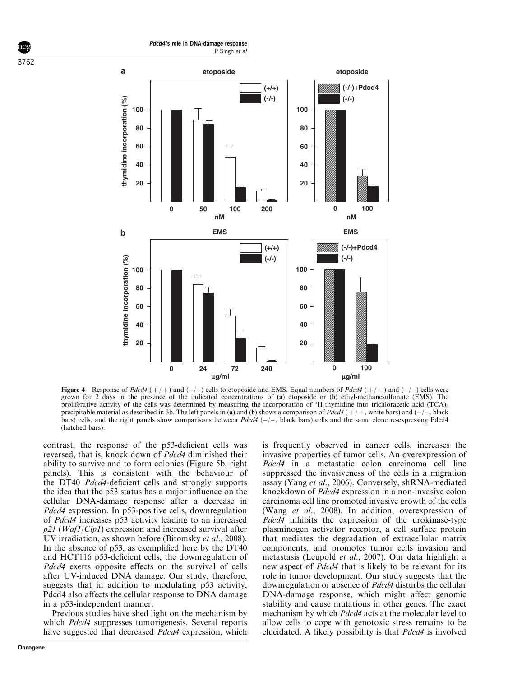Pdcd4's role in DNA-damage response P Singh et al

3762



**Figure 4** Response of Pdcd4  $(+/+)$  and  $(-/-)$  cells to etoposide and EMS. Equal numbers of Pdcd4  $(+/+)$  and  $(-/-)$  cells were grown for 2 days in the presence of the indicated concentrations of (a) etoposide or (b) ethyl-methanesulfonate (EMS). The proliferative activity of the cells was determined by measuring the incorporation of <sup>3</sup>H-thymidine into trichloracetic acid (TCA) precipitable material as described in 3b. The left panels in (a) and (b) shows a comparison of  $Pdcd4$  ( $+$ ) +, white bars) and ( $-$ ) +, black bars) cells, and the right panels show comparisons between  $Pdcd4$  ( $-/-$ , black bars) cells and the same clone re-expressing Pdcd4 (hatched bars).

contrast, the response of the p53-deficient cells was reversed, that is, knock down of Pdcd4 diminished their ability to survive and to form colonies (Figure 5b, right panels). This is consistent with the behaviour of the DT40 Pdcd4-deficient cells and strongly supports the idea that the p53 status has a major influence on the cellular DNA-damage response after a decrease in Pdcd4 expression. In p53-positive cells, downregulation of Pdcd4 increases p53 activity leading to an increased  $p21$  (*Waf1*/*Cip1*) expression and increased survival after UV irradiation, as shown before (Bitomsky *et al.*, 2008). In the absence of p53, as exemplified here by the DT40 and HCT116 p53-deficient cells, the downregulation of Pdcd4 exerts opposite effects on the survival of cells after UV-induced DNA damage. Our study, therefore, suggests that in addition to modulating p53 activity, Pdcd4 also affects the cellular response to DNA damage in a p53-independent manner.

Previous studies have shed light on the mechanism by which *Pdcd4* suppresses tumorigenesis. Several reports have suggested that decreased Pdcd4 expression, which

(Wang et al., 2008). In addition, overexpression of Pdcd4 inhibits the expression of the urokinase-type plasminogen activator receptor, a cell surface protein that mediates the degradation of extracellular matrix components, and promotes tumor cells invasion and metastasis (Leupold et al., 2007). Our data highlight a new aspect of Pdcd4 that is likely to be relevant for its role in tumor development. Our study suggests that the downregulation or absence of Pdcd4 disturbs the cellular DNA-damage response, which might affect genomic stability and cause mutations in other genes. The exact mechanism by which Pdcd4 acts at the molecular level to allow cells to cope with genotoxic stress remains to be elucidated. A likely possibility is that Pdcd4 is involved

is frequently observed in cancer cells, increases the invasive properties of tumor cells. An overexpression of Pdcd4 in a metastatic colon carcinoma cell line suppressed the invasiveness of the cells in a migration assay (Yang et al., 2006). Conversely, shRNA-mediated knockdown of Pdcd4 expression in a non-invasive colon carcinoma cell line promoted invasive growth of the cells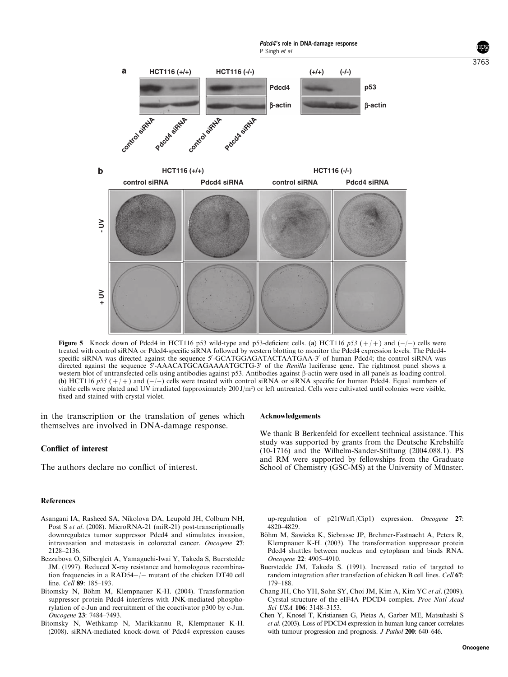

Figure 5 Knock down of Pdcd4 in HCT116 p53 wild-type and p53-deficient cells. (a) HCT116 p53  $(+/+)$  and  $(-/-)$  cells were treated with control siRNA or Pdcd4-specific siRNA followed by western blotting to monitor the Pdcd4 expression levels. The Pdcd4 specific siRNA was directed against the sequence 5'-GCATGGAGATACTAATGAA-3' of human Pdcd4; the control siRNA was directed against the sequence 5'-AAACATGCAGAAAATGCTG-3' of the Renilla luciferase gene. The rightmost panel shows a western blot of untransfected cells using antibodies against p53. Antibodies against  $\beta$ -actin were used in all panels as loading control. (b) HCT116 p53 ( $+$  +) and (- $-$ ) cells were treated with control siRNA or siRNA specific for human Pdcd4. Equal numbers of viable cells were plated and UV irradiated (approximately 200 J/m<sup>2</sup>) or left untreated. Cells were cultivated until colonies were visible, fixed and stained with crystal violet.

in the transcription or the translation of genes which themselves are involved in DNA-damage response.

### Conflict of interest

The authors declare no conflict of interest.

#### References

- Asangani IA, Rasheed SA, Nikolova DA, Leupold JH, Colburn NH, Post S et al. (2008). MicroRNA-21 (miR-21) post-transcriptionally downregulates tumor suppressor Pdcd4 and stimulates invasion, intravasation and metastasis in colorectal cancer. Oncogene 27: 2128–2136.
- Bezzubova O, Silbergleit A, Yamaguchi-Iwai Y, Takeda S, Buerstedde JM. (1997). Reduced X-ray resistance and homologous recombination frequencies in a  $RAD54-/-$  mutant of the chicken DT40 cell line. Cell 89: 185-193.
- Bitomsky N, Böhm M, Klempnauer K-H. (2004). Transformation suppressor protein Pdcd4 interferes with JNK-mediated phosphorylation of c-Jun and recruitment of the coactivator p300 by c-Jun. Oncogene 23: 7484–7493.
- Bitomsky N, Wethkamp N, Marikkannu R, Klempnauer K-H. (2008). siRNA-mediated knock-down of Pdcd4 expression causes

#### Acknowledgements

We thank B Berkenfeld for excellent technical assistance. This study was supported by grants from the Deutsche Krebshilfe (10-1716) and the Wilhelm-Sander-Stiftung (2004.088.1). PS and RM were supported by fellowships from the Graduate School of Chemistry (GSC-MS) at the University of Münster.

up-regulation of p21(Waf1/Cip1) expression. Oncogene 27: 4820–4829.

- Böhm M, Sawicka K, Siebrasse JP, Brehmer-Fastnacht A, Peters R, Klempnauer K-H. (2003). The transformation suppressor protein Pdcd4 shuttles between nucleus and cytoplasm and binds RNA. Oncogene 22: 4905–4910.
- Buerstedde JM, Takeda S. (1991). Increased ratio of targeted to random integration after transfection of chicken B cell lines. Cell 67: 179–188.
- Chang JH, Cho YH, Sohn SY, Choi JM, Kim A, Kim YC et al. (2009). Cyrstal structure of the eIF4A–PDCD4 complex. Proc Natl Acad Sci USA 106: 3148–3153.
- Chen Y, Knosel T, Kristiansen G, Pietas A, Garber ME, Matsuhashi S et al. (2003). Loss of PDCD4 expression in human lung cancer correlates with tumour progression and prognosis. *J Pathol* 200: 640–646.

3763